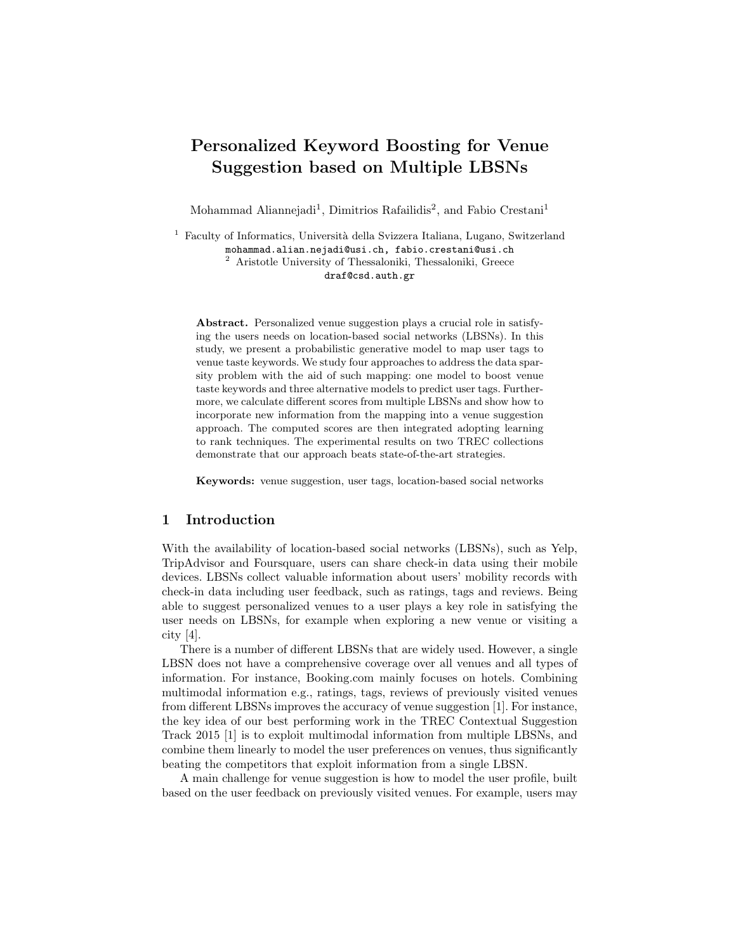# Personalized Keyword Boosting for Venue Suggestion based on Multiple LBSNs

Mohammad Aliannejadi<sup>1</sup>, Dimitrios Rafailidis<sup>2</sup>, and Fabio Crestani<sup>1</sup>

<sup>1</sup> Faculty of Informatics, Università della Svizzera Italiana, Lugano, Switzerland mohammad.alian.nejadi@usi.ch, fabio.crestani@usi.ch

<sup>2</sup> Aristotle University of Thessaloniki, Thessaloniki, Greece draf@csd.auth.gr

Abstract. Personalized venue suggestion plays a crucial role in satisfying the users needs on location-based social networks (LBSNs). In this study, we present a probabilistic generative model to map user tags to venue taste keywords. We study four approaches to address the data sparsity problem with the aid of such mapping: one model to boost venue taste keywords and three alternative models to predict user tags. Furthermore, we calculate different scores from multiple LBSNs and show how to incorporate new information from the mapping into a venue suggestion approach. The computed scores are then integrated adopting learning to rank techniques. The experimental results on two TREC collections demonstrate that our approach beats state-of-the-art strategies.

Keywords: venue suggestion, user tags, location-based social networks

### 1 Introduction

With the availability of location-based social networks (LBSNs), such as Yelp, TripAdvisor and Foursquare, users can share check-in data using their mobile devices. LBSNs collect valuable information about users' mobility records with check-in data including user feedback, such as ratings, tags and reviews. Being able to suggest personalized venues to a user plays a key role in satisfying the user needs on LBSNs, for example when exploring a new venue or visiting a city [4].

There is a number of different LBSNs that are widely used. However, a single LBSN does not have a comprehensive coverage over all venues and all types of information. For instance, Booking.com mainly focuses on hotels. Combining multimodal information e.g., ratings, tags, reviews of previously visited venues from different LBSNs improves the accuracy of venue suggestion [1]. For instance, the key idea of our best performing work in the TREC Contextual Suggestion Track 2015 [1] is to exploit multimodal information from multiple LBSNs, and combine them linearly to model the user preferences on venues, thus significantly beating the competitors that exploit information from a single LBSN.

A main challenge for venue suggestion is how to model the user profile, built based on the user feedback on previously visited venues. For example, users may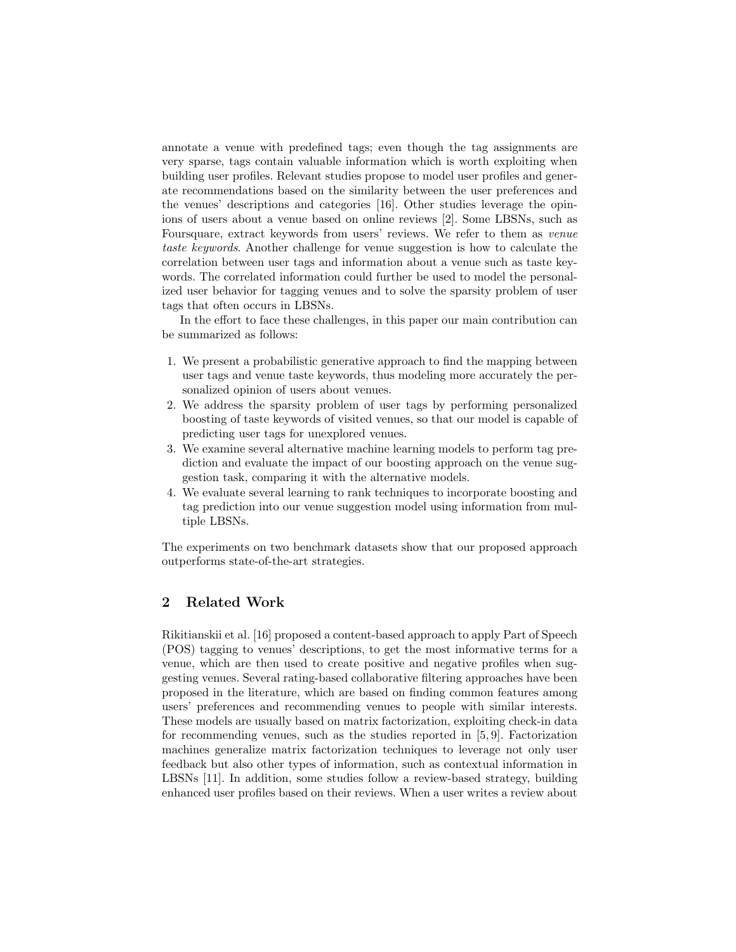annotate a venue with predefined tags; even though the tag assignments are very sparse, tags contain valuable information which is worth exploiting when building user profiles. Relevant studies propose to model user profiles and generate recommendations based on the similarity between the user preferences and the venues' descriptions and categories [16]. Other studies leverage the opinions of users about a venue based on online reviews [2]. Some LBSNs, such as Foursquare, extract keywords from users' reviews. We refer to them as venue taste keywords. Another challenge for venue suggestion is how to calculate the correlation between user tags and information about a venue such as taste keywords. The correlated information could further be used to model the personalized user behavior for tagging venues and to solve the sparsity problem of user tags that often occurs in LBSNs.

In the effort to face these challenges, in this paper our main contribution can be summarized as follows:

- 1. We present a probabilistic generative approach to find the mapping between user tags and venue taste keywords, thus modeling more accurately the personalized opinion of users about venues.
- 2. We address the sparsity problem of user tags by performing personalized boosting of taste keywords of visited venues, so that our model is capable of predicting user tags for unexplored venues.
- 3. We examine several alternative machine learning models to perform tag prediction and evaluate the impact of our boosting approach on the venue suggestion task, comparing it with the alternative models.
- 4. We evaluate several learning to rank techniques to incorporate boosting and tag prediction into our venue suggestion model using information from multiple LBSNs.

The experiments on two benchmark datasets show that our proposed approach outperforms state-of-the-art strategies.

## 2 Related Work

Rikitianskii et al. [16] proposed a content-based approach to apply Part of Speech (POS) tagging to venues' descriptions, to get the most informative terms for a venue, which are then used to create positive and negative profiles when suggesting venues. Several rating-based collaborative filtering approaches have been proposed in the literature, which are based on finding common features among users' preferences and recommending venues to people with similar interests. These models are usually based on matrix factorization, exploiting check-in data for recommending venues, such as the studies reported in [5, 9]. Factorization machines generalize matrix factorization techniques to leverage not only user feedback but also other types of information, such as contextual information in LBSNs [11]. In addition, some studies follow a review-based strategy, building enhanced user profiles based on their reviews. When a user writes a review about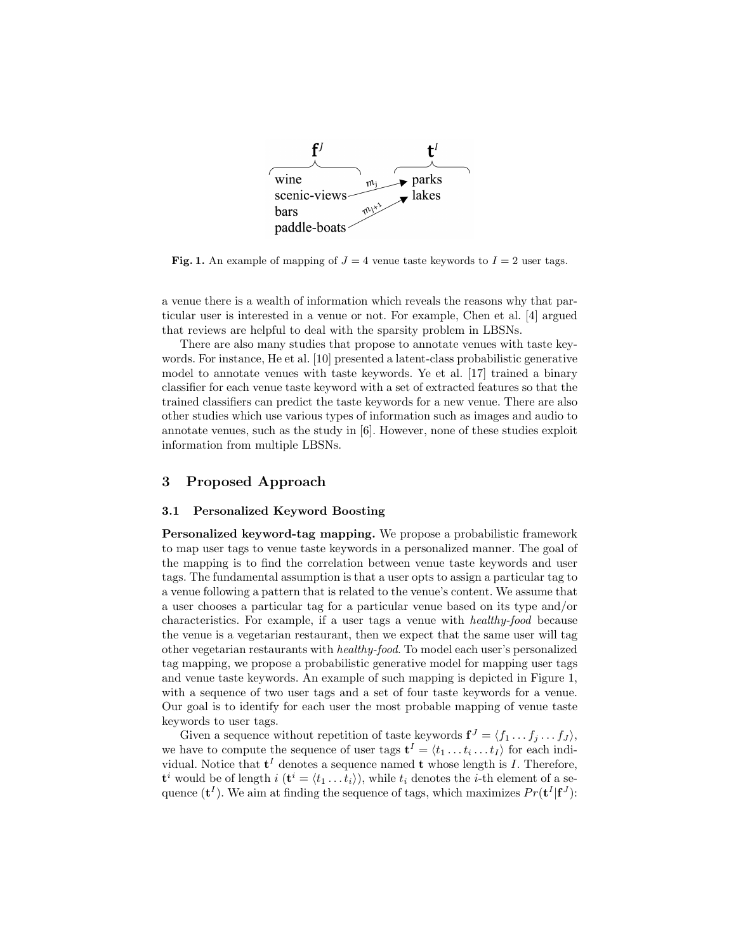

**Fig. 1.** An example of mapping of  $J = 4$  venue taste keywords to  $I = 2$  user tags.

a venue there is a wealth of information which reveals the reasons why that particular user is interested in a venue or not. For example, Chen et al. [4] argued that reviews are helpful to deal with the sparsity problem in LBSNs.

There are also many studies that propose to annotate venues with taste keywords. For instance, He et al. [10] presented a latent-class probabilistic generative model to annotate venues with taste keywords. Ye et al. [17] trained a binary classifier for each venue taste keyword with a set of extracted features so that the trained classifiers can predict the taste keywords for a new venue. There are also other studies which use various types of information such as images and audio to annotate venues, such as the study in [6]. However, none of these studies exploit information from multiple LBSNs.

## 3 Proposed Approach

#### 3.1 Personalized Keyword Boosting

Personalized keyword-tag mapping. We propose a probabilistic framework to map user tags to venue taste keywords in a personalized manner. The goal of the mapping is to find the correlation between venue taste keywords and user tags. The fundamental assumption is that a user opts to assign a particular tag to a venue following a pattern that is related to the venue's content. We assume that a user chooses a particular tag for a particular venue based on its type and/or characteristics. For example, if a user tags a venue with healthy-food because the venue is a vegetarian restaurant, then we expect that the same user will tag other vegetarian restaurants with healthy-food. To model each user's personalized tag mapping, we propose a probabilistic generative model for mapping user tags and venue taste keywords. An example of such mapping is depicted in Figure 1, with a sequence of two user tags and a set of four taste keywords for a venue. Our goal is to identify for each user the most probable mapping of venue taste keywords to user tags.

Given a sequence without repetition of taste keywords  $\mathbf{f}^J = \langle f_1 \dots f_j \dots f_J \rangle$ , we have to compute the sequence of user tags  $\mathbf{t}^I = \langle t_1 \dots t_i \dots t_I \rangle$  for each individual. Notice that  $\mathbf{t}^{I}$  denotes a sequence named  $\mathbf{t}$  whose length is I. Therefore,  $\mathbf{t}^i$  would be of length  $i$   $(\mathbf{t}^i = \langle t_1 \dots t_i \rangle)$ , while  $t_i$  denotes the *i*-th element of a sequence ( $\mathbf{t}^{I}$ ). We aim at finding the sequence of tags, which maximizes  $Pr(\mathbf{t}^{I}|\mathbf{f}^{J})$ :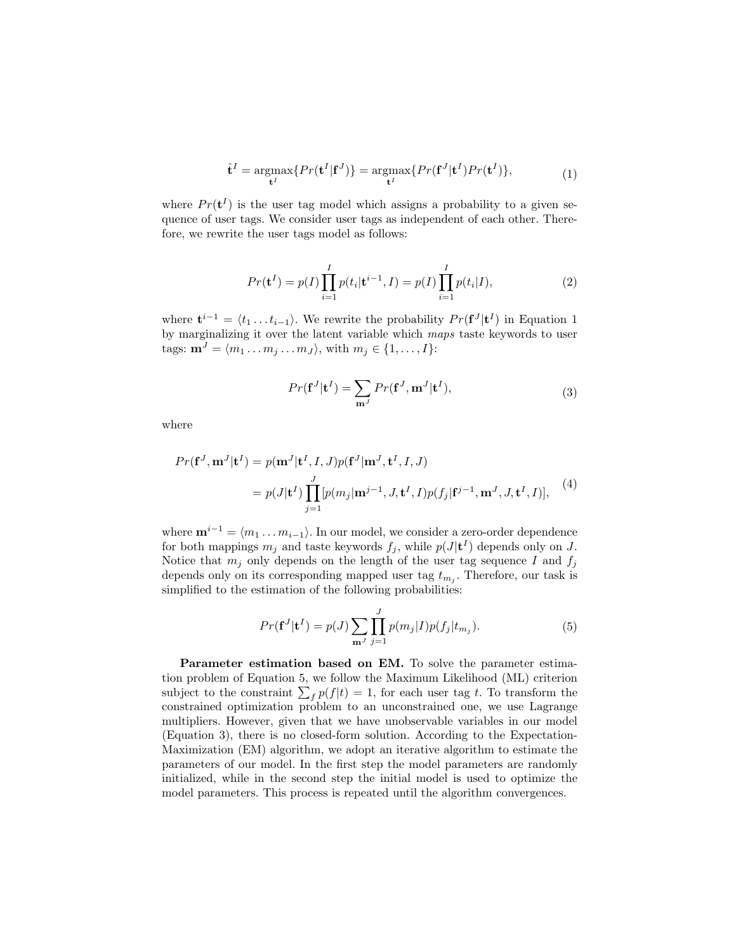$$
\hat{\mathbf{t}}^{I} = \underset{\mathbf{t}^{I}}{\operatorname{argmax}} \{ Pr(\mathbf{t}^{I}|\mathbf{f}^{J}) \} = \underset{\mathbf{t}^{I}}{\operatorname{argmax}} \{ Pr(\mathbf{f}^{J}|\mathbf{t}^{I}) Pr(\mathbf{t}^{I}) \},
$$
\n(1)

where  $Pr(\mathbf{t}^I)$  is the user tag model which assigns a probability to a given sequence of user tags. We consider user tags as independent of each other. Therefore, we rewrite the user tags model as follows:

$$
Pr(\mathbf{t}^{I}) = p(I) \prod_{i=1}^{I} p(t_i | \mathbf{t}^{i-1}, I) = p(I) \prod_{i=1}^{I} p(t_i | I),
$$
\n(2)

where  $\mathbf{t}^{i-1} = \langle t_1 \dots t_{i-1} \rangle$ . We rewrite the probability  $Pr(\mathbf{f}^J | \mathbf{t}^I)$  in Equation 1 by marginalizing it over the latent variable which maps taste keywords to user tags:  $\mathbf{m}^J = \langle m_1 \dots m_j \dots m_J \rangle$ , with  $m_j \in \{1, \dots, I\}$ :

$$
Pr(\mathbf{f}^{J}|\mathbf{t}^{I}) = \sum_{\mathbf{m}^{J}} Pr(\mathbf{f}^{J}, \mathbf{m}^{J}|\mathbf{t}^{I}),
$$
\n(3)

where

$$
Pr(\mathbf{f}^J, \mathbf{m}^J | \mathbf{t}^I) = p(\mathbf{m}^J | \mathbf{t}^I, I, J)p(\mathbf{f}^J | \mathbf{m}^J, \mathbf{t}^I, I, J)
$$
  
=  $p(J | \mathbf{t}^I) \prod_{j=1}^J [p(m_j | \mathbf{m}^{j-1}, J, \mathbf{t}^I, I)p(f_j | \mathbf{f}^{j-1}, \mathbf{m}^J, J, \mathbf{t}^I, I)],$  (4)

where  $\mathbf{m}^{i-1} = \langle m_1 \dots m_{i-1} \rangle$ . In our model, we consider a zero-order dependence for both mappings  $m_j$  and taste keywords  $f_j$ , while  $p(J|\mathbf{t}^I)$  depends only on J. Notice that  $m_j$  only depends on the length of the user tag sequence I and  $f_j$ depends only on its corresponding mapped user tag  $t_{m_j}$ . Therefore, our task is simplified to the estimation of the following probabilities:

$$
Pr(\mathbf{f}^{J}|\mathbf{t}^{I}) = p(J) \sum_{\mathbf{m}^{J}} \prod_{j=1}^{J} p(m_j|I) p(f_j|t_{m_j}).
$$
\n(5)

Parameter estimation based on EM. To solve the parameter estimation problem of Equation 5, we follow the Maximum Likelihood (ML) criterion subject to the constraint  $\sum_{f} p(f|t) = 1$ , for each user tag t. To transform the constrained optimization problem to an unconstrained one, we use Lagrange multipliers. However, given that we have unobservable variables in our model (Equation 3), there is no closed-form solution. According to the Expectation-Maximization (EM) algorithm, we adopt an iterative algorithm to estimate the parameters of our model. In the first step the model parameters are randomly initialized, while in the second step the initial model is used to optimize the model parameters. This process is repeated until the algorithm convergences.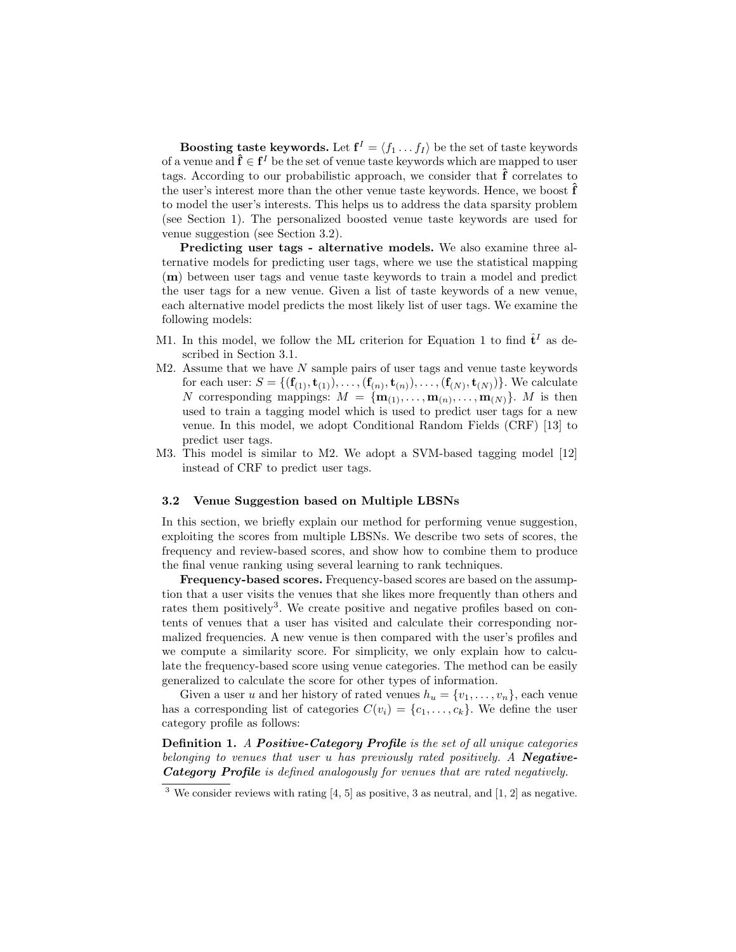**Boosting taste keywords.** Let  $\mathbf{f}^I = \langle f_1 \dots f_I \rangle$  be the set of taste keywords of a venue and  $\hat{\mathbf{f}} \in \mathbf{f}^I$  be the set of venue taste keywords which are mapped to user tags. According to our probabilistic approach, we consider that  $\hat{f}$  correlates to the user's interest more than the other venue taste keywords. Hence, we boost  $\hat{\mathbf{f}}$ to model the user's interests. This helps us to address the data sparsity problem (see Section 1). The personalized boosted venue taste keywords are used for venue suggestion (see Section 3.2).

Predicting user tags - alternative models. We also examine three alternative models for predicting user tags, where we use the statistical mapping (m) between user tags and venue taste keywords to train a model and predict the user tags for a new venue. Given a list of taste keywords of a new venue, each alternative model predicts the most likely list of user tags. We examine the following models:

- M1. In this model, we follow the ML criterion for Equation 1 to find  $\hat{\mathbf{t}}^I$  as described in Section 3.1.
- M2. Assume that we have  $N$  sample pairs of user tags and venue taste keywords for each user:  $S = \{(\mathbf{f}_{(1)}, \mathbf{t}_{(1)}), \ldots, (\mathbf{f}_{(n)}, \mathbf{t}_{(n)}), \ldots, (\mathbf{f}_{(N)}, \mathbf{t}_{(N)})\}$ . We calculate N corresponding mappings:  $M = {\mathbf{m}_{(1)}, \ldots, \mathbf{m}_{(n)}, \ldots, \mathbf{m}_{(N)}}$ . M is then used to train a tagging model which is used to predict user tags for a new venue. In this model, we adopt Conditional Random Fields (CRF) [13] to predict user tags.
- M3. This model is similar to M2. We adopt a SVM-based tagging model [12] instead of CRF to predict user tags.

#### 3.2 Venue Suggestion based on Multiple LBSNs

In this section, we briefly explain our method for performing venue suggestion, exploiting the scores from multiple LBSNs. We describe two sets of scores, the frequency and review-based scores, and show how to combine them to produce the final venue ranking using several learning to rank techniques.

Frequency-based scores. Frequency-based scores are based on the assumption that a user visits the venues that she likes more frequently than others and rates them positively<sup>3</sup>. We create positive and negative profiles based on contents of venues that a user has visited and calculate their corresponding normalized frequencies. A new venue is then compared with the user's profiles and we compute a similarity score. For simplicity, we only explain how to calculate the frequency-based score using venue categories. The method can be easily generalized to calculate the score for other types of information.

Given a user u and her history of rated venues  $h_u = \{v_1, \ldots, v_n\}$ , each venue has a corresponding list of categories  $C(v_i) = \{c_1, \ldots, c_k\}$ . We define the user category profile as follows:

Definition 1. A Positive-Category Profile is the set of all unique categories belonging to venues that user u has previously rated positively. A **Negative-**Category Profile is defined analogously for venues that are rated negatively.

<sup>&</sup>lt;sup>3</sup> We consider reviews with rating [4, 5] as positive, 3 as neutral, and [1, 2] as negative.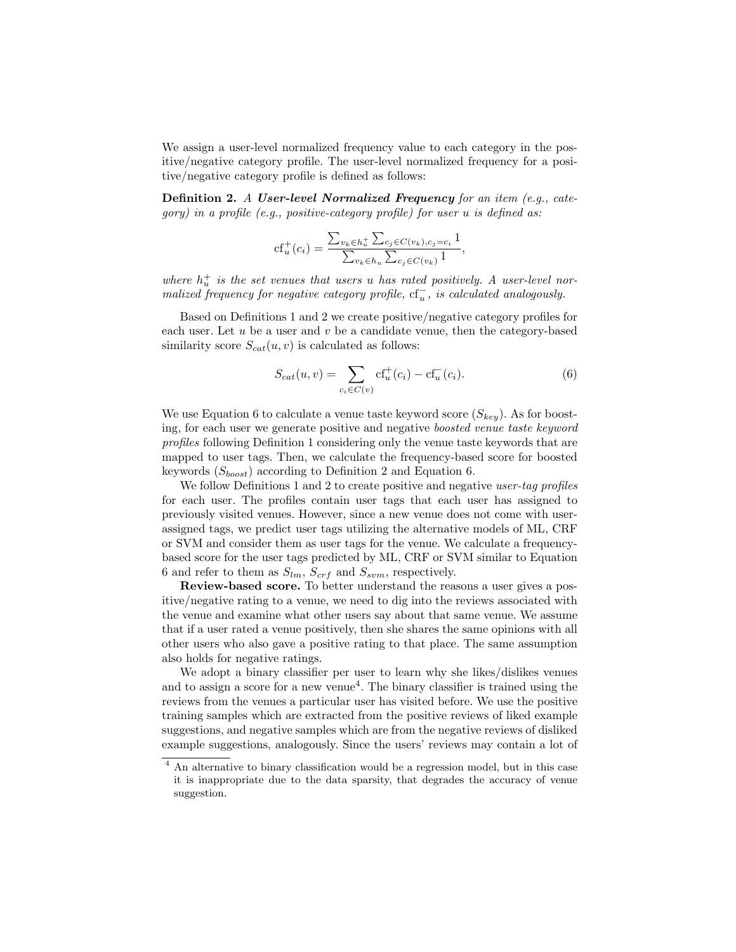We assign a user-level normalized frequency value to each category in the positive/negative category profile. The user-level normalized frequency for a positive/negative category profile is defined as follows:

Definition 2. A User-level Normalized Frequency for an item (e.g., category) in a profile (e.g., positive-category profile) for user u is defined as:

$$
\mathrm{cf}_{u}^{+}(c_{i}) = \frac{\sum_{v_{k} \in h_{u}^{+}} \sum_{c_{j} \in C(v_{k}), c_{j} = c_{i}} 1}{\sum_{v_{k} \in h_{u} \sum_{c_{j} \in C(v_{k})} 1},
$$

where  $h_u^+$  is the set venues that users u has rated positively. A user-level normalized frequency for negative category profile,  $cf_u^-$ , is calculated analogously.

Based on Definitions 1 and 2 we create positive/negative category profiles for each user. Let  $u$  be a user and  $v$  be a candidate venue, then the category-based similarity score  $S_{cat}(u, v)$  is calculated as follows:

$$
S_{cat}(u, v) = \sum_{c_i \in C(v)} cf_u^+(c_i) - cf_u^-(c_i).
$$
 (6)

We use Equation 6 to calculate a venue taste keyword score  $(S_{k \neq y})$ . As for boosting, for each user we generate positive and negative boosted venue taste keyword profiles following Definition 1 considering only the venue taste keywords that are mapped to user tags. Then, we calculate the frequency-based score for boosted keywords  $(S_{boost})$  according to Definition 2 and Equation 6.

We follow Definitions 1 and 2 to create positive and negative user-tag profiles for each user. The profiles contain user tags that each user has assigned to previously visited venues. However, since a new venue does not come with userassigned tags, we predict user tags utilizing the alternative models of ML, CRF or SVM and consider them as user tags for the venue. We calculate a frequencybased score for the user tags predicted by ML, CRF or SVM similar to Equation 6 and refer to them as  $S_{lm}$ ,  $S_{crf}$  and  $S_{sum}$ , respectively.

Review-based score. To better understand the reasons a user gives a positive/negative rating to a venue, we need to dig into the reviews associated with the venue and examine what other users say about that same venue. We assume that if a user rated a venue positively, then she shares the same opinions with all other users who also gave a positive rating to that place. The same assumption also holds for negative ratings.

We adopt a binary classifier per user to learn why she likes/dislikes venues and to assign a score for a new venue<sup>4</sup>. The binary classifier is trained using the reviews from the venues a particular user has visited before. We use the positive training samples which are extracted from the positive reviews of liked example suggestions, and negative samples which are from the negative reviews of disliked example suggestions, analogously. Since the users' reviews may contain a lot of

<sup>4</sup> An alternative to binary classification would be a regression model, but in this case it is inappropriate due to the data sparsity, that degrades the accuracy of venue suggestion.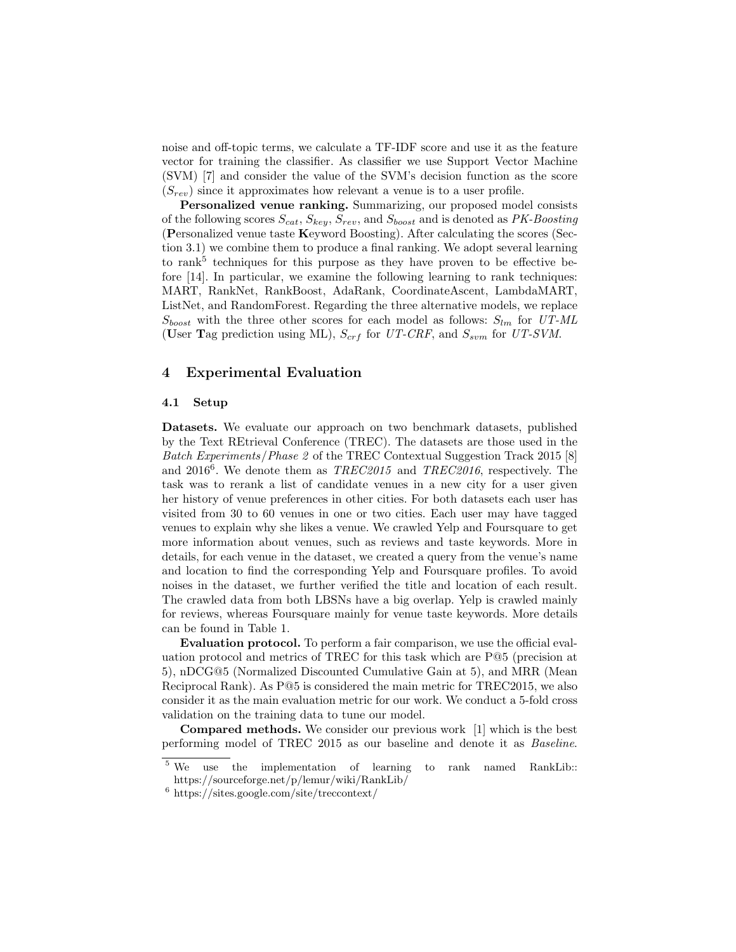noise and off-topic terms, we calculate a TF-IDF score and use it as the feature vector for training the classifier. As classifier we use Support Vector Machine (SVM) [7] and consider the value of the SVM's decision function as the score  $(S_{rev})$  since it approximates how relevant a venue is to a user profile.

Personalized venue ranking. Summarizing, our proposed model consists of the following scores  $S_{cat}$ ,  $S_{key}$ ,  $S_{rev}$ , and  $S_{boost}$  and is denoted as PK-Boosting (Personalized venue taste Keyword Boosting). After calculating the scores (Section 3.1) we combine them to produce a final ranking. We adopt several learning to rank<sup>5</sup> techniques for this purpose as they have proven to be effective before [14]. In particular, we examine the following learning to rank techniques: MART, RankNet, RankBoost, AdaRank, CoordinateAscent, LambdaMART, ListNet, and RandomForest. Regarding the three alternative models, we replace  $S_{boost}$  with the three other scores for each model as follows:  $S_{lm}$  for UT-ML (User Tag prediction using ML),  $S_{crf}$  for UT-CRF, and  $S_{sym}$  for UT-SVM.

## 4 Experimental Evaluation

#### 4.1 Setup

Datasets. We evaluate our approach on two benchmark datasets, published by the Text REtrieval Conference (TREC). The datasets are those used in the Batch Experiments/Phase 2 of the TREC Contextual Suggestion Track 2015 [8] and 2016<sup>6</sup>. We denote them as TREC2015 and TREC2016, respectively. The task was to rerank a list of candidate venues in a new city for a user given her history of venue preferences in other cities. For both datasets each user has visited from 30 to 60 venues in one or two cities. Each user may have tagged venues to explain why she likes a venue. We crawled Yelp and Foursquare to get more information about venues, such as reviews and taste keywords. More in details, for each venue in the dataset, we created a query from the venue's name and location to find the corresponding Yelp and Foursquare profiles. To avoid noises in the dataset, we further verified the title and location of each result. The crawled data from both LBSNs have a big overlap. Yelp is crawled mainly for reviews, whereas Foursquare mainly for venue taste keywords. More details can be found in Table 1.

Evaluation protocol. To perform a fair comparison, we use the official evaluation protocol and metrics of TREC for this task which are P@5 (precision at 5), nDCG@5 (Normalized Discounted Cumulative Gain at 5), and MRR (Mean Reciprocal Rank). As P@5 is considered the main metric for TREC2015, we also consider it as the main evaluation metric for our work. We conduct a 5-fold cross validation on the training data to tune our model.

Compared methods. We consider our previous work [1] which is the best performing model of TREC 2015 as our baseline and denote it as Baseline.

<sup>&</sup>lt;sup>5</sup> We use the implementation of learning to rank named RankLib:: https://sourceforge.net/p/lemur/wiki/RankLib/

<sup>6</sup> https://sites.google.com/site/treccontext/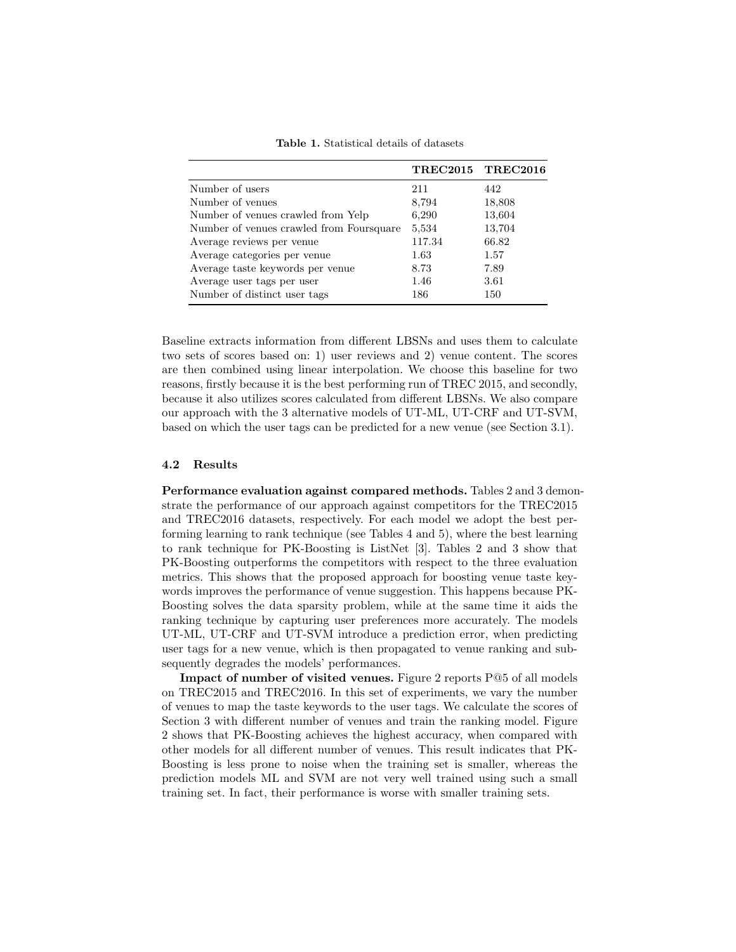|                                          | TREC2015 TREC2016 |        |
|------------------------------------------|-------------------|--------|
| Number of users                          | 211               | 442    |
| Number of venues                         | 8,794             | 18,808 |
| Number of venues crawled from Yelp       | 6,290             | 13,604 |
| Number of venues crawled from Foursquare | 5,534             | 13,704 |
| Average reviews per venue                | 117.34            | 66.82  |
| Average categories per venue             | 1.63              | 1.57   |
| Average taste keywords per venue         | 8.73              | 7.89   |
| Average user tags per user               | 1.46              | 3.61   |
| Number of distinct user tags             | 186               | 150    |

Table 1. Statistical details of datasets

Baseline extracts information from different LBSNs and uses them to calculate two sets of scores based on: 1) user reviews and 2) venue content. The scores are then combined using linear interpolation. We choose this baseline for two reasons, firstly because it is the best performing run of TREC 2015, and secondly, because it also utilizes scores calculated from different LBSNs. We also compare our approach with the 3 alternative models of UT-ML, UT-CRF and UT-SVM, based on which the user tags can be predicted for a new venue (see Section 3.1).

#### 4.2 Results

Performance evaluation against compared methods. Tables 2 and 3 demonstrate the performance of our approach against competitors for the TREC2015 and TREC2016 datasets, respectively. For each model we adopt the best performing learning to rank technique (see Tables 4 and 5), where the best learning to rank technique for PK-Boosting is ListNet [3]. Tables 2 and 3 show that PK-Boosting outperforms the competitors with respect to the three evaluation metrics. This shows that the proposed approach for boosting venue taste keywords improves the performance of venue suggestion. This happens because PK-Boosting solves the data sparsity problem, while at the same time it aids the ranking technique by capturing user preferences more accurately. The models UT-ML, UT-CRF and UT-SVM introduce a prediction error, when predicting user tags for a new venue, which is then propagated to venue ranking and subsequently degrades the models' performances.

Impact of number of visited venues. Figure 2 reports P@5 of all models on TREC2015 and TREC2016. In this set of experiments, we vary the number of venues to map the taste keywords to the user tags. We calculate the scores of Section 3 with different number of venues and train the ranking model. Figure 2 shows that PK-Boosting achieves the highest accuracy, when compared with other models for all different number of venues. This result indicates that PK-Boosting is less prone to noise when the training set is smaller, whereas the prediction models ML and SVM are not very well trained using such a small training set. In fact, their performance is worse with smaller training sets.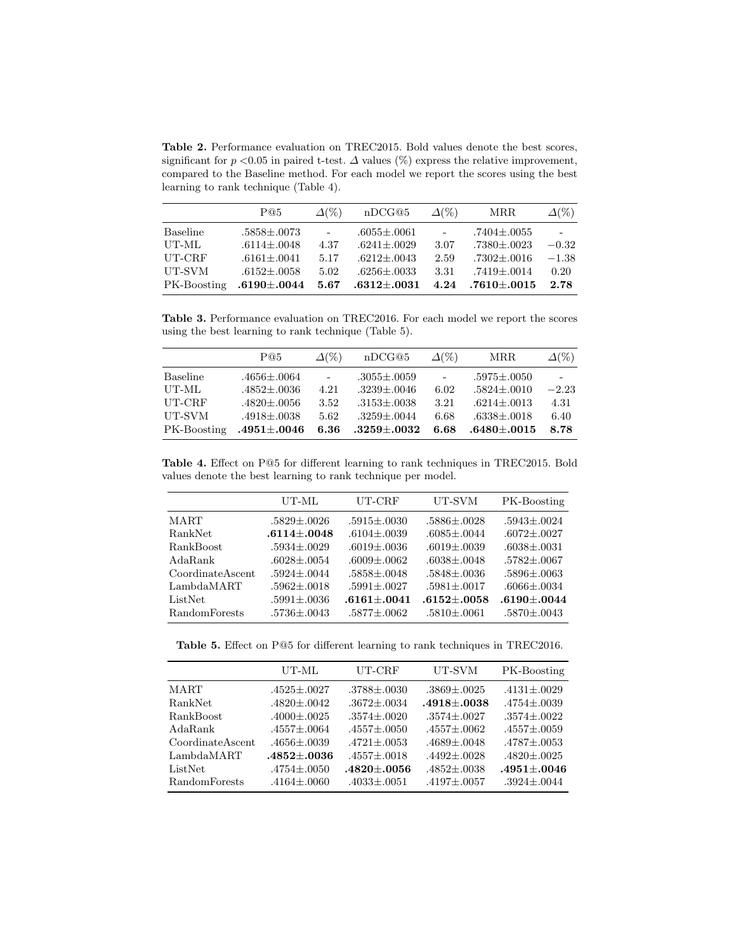Table 2. Performance evaluation on TREC2015. Bold values denote the best scores, significant for  $p < 0.05$  in paired t-test.  $\Delta$  values (%) express the relative improvement, compared to the Baseline method. For each model we report the scores using the best learning to rank technique (Table 4).

|             | P@5                  | $\Delta(\%)$ | nDCG@5              | $\Delta(\%)$ | MRR                 | $\Delta(\%)$ |
|-------------|----------------------|--------------|---------------------|--------------|---------------------|--------------|
| Baseline    | $.5858 {\pm} .0073$  | $\sim$       | $.6055 \pm .0061$   | $\sim$       | $.7404 {\pm} .0055$ |              |
| UT-ML       | $.6114 \pm .0048$    | 4.37         | $.6241 + .0029$     | 3.07         | $.7380 \pm .0023$   | $-0.32$      |
| UT-CRF      | $.6161 \pm .0041$    | 5.17         | $.6212 \pm .0043$   | 2.59         | $.7302 \pm .0016$   | $-1.38$      |
| UT-SVM      | $.6152 \pm .0058$    | 5.02         | $.6256 {\pm} .0033$ | 3.31         | $.7419 {\pm} .0014$ | 0.20         |
| PK-Boosting | $0.6190 {\pm} .0044$ | 5.67         | $.6312 {\pm} .0031$ | 4.24         | $.7610 + .0015$     | 2.78         |

Table 3. Performance evaluation on TREC2016. For each model we report the scores using the best learning to rank technique (Table 5).

|             | P@5                 | $\Delta(\%)$ | nDCG@5            | $\Delta(\%)$ | MRR                 | $\Delta(\%)$ |
|-------------|---------------------|--------------|-------------------|--------------|---------------------|--------------|
| Baseline    | $.4656 {\pm} .0064$ | $\sim$       | $.3055 \pm .0059$ | $\sim$       | $.5975 {\pm} .0050$ |              |
| UT-ML       | $.4852 \pm .0036$   | 4.21         | $.3239 \pm .0046$ | 6.02         | $.5824 {\pm} .0010$ | $-2.23$      |
| UT-CRF      | $.4820 {\pm} .0056$ | 3.52         | $.3153 \pm .0038$ | 3.21         | $.6214 + .0013$     | 4.31         |
| UT-SVM      | .4918±.0038         | 5.62         | $.3259 \pm .0044$ | 6.68         | $.6338 \pm .0018$   | 6.40         |
| PK-Boosting | $.4951 {\pm} .0046$ | 6.36         | $.3259 + .0032$   | 6.68         | $.6480 {\pm} .0015$ | 8.78         |

Table 4. Effect on P@5 for different learning to rank techniques in TREC2015. Bold values denote the best learning to rank technique per model.

|                  | UT-ML             | UT-CRF              | UT-SVM            | PK-Boosting         |
|------------------|-------------------|---------------------|-------------------|---------------------|
| MART             | $.5829 + .0026$   | $.5915 + .0030$     | $.5886 + .0028$   | $.5943 + .0024$     |
| RankNet          | $.6114 + .0048$   | $.6104 + .0039$     | $.6085 + .0044$   | $.6072 \pm .0027$   |
| <b>RankBoost</b> | $.5934 + .0029$   | $.6019 + .0036$     | $.6019 + .0039$   | $.6038 \pm .0031$   |
| AdaRank          | $.6028 \pm .0054$ | $.6009 + .0062$     | $.6038 + .0048$   | $.5782 \pm .0067$   |
| CoordinateAscent | $.5924 + .0044$   | $.5858 {\pm} .0048$ | $.5848 \pm .0036$ | $.5896 {\pm} .0063$ |
| LambdaMART       | $.5962 \pm .0018$ | $.5991 \pm .0027$   | $.5981 \pm .0017$ | $.6066 \pm .0034$   |
| ListNet          | $.5991 \pm .0036$ | $.6161 + .0041$     | $.6152 + .0058$   | $.6190 {\pm} .0044$ |
| RandomForests    | $.5736 \pm .0043$ | $.5877 \pm .0062$   | $.5810 \pm .0061$ | $.5870 \pm .0043$   |

Table 5. Effect on P@5 for different learning to rank techniques in TREC2016.

|                      | UT-ML               | $UT-CRF$          | UT-SVM          | PK-Boosting       |
|----------------------|---------------------|-------------------|-----------------|-------------------|
| <b>MART</b>          | $.4525 {\pm} .0027$ | $.3788 \pm .0030$ | $.3869 + .0025$ | $.4131 \pm .0029$ |
| RankNet              | $.4820 \pm .0042$   | $.3672 \pm .0034$ | $.4918 + .0038$ | $.4754 \pm .0039$ |
| <b>RankBoost</b>     | $.4000 + .0025$     | $.3574 + .0020$   | $.3574 + .0027$ | $.3574 \pm .0022$ |
| AdaRank              | $.4557 + .0064$     | $.4557 + .0050$   | $.4557 + .0062$ | $.4557 \pm .0059$ |
| CoordinateAscent     | $.4656 + .0039$     | $.4721 + .0053$   | $.4689 + .0048$ | $.4787 \pm .0053$ |
| LambdaMART           | $.4852 {\pm} .0036$ | $.4557 \pm .0018$ | $.4492 + .0028$ | $.4820 \pm .0025$ |
| ListNet              | $.4754\pm.0050$     | $.4820 + .0056$   | $.4852 + .0038$ | $.4951 + .0046$   |
| <b>RandomForests</b> | $.4164 + .0060$     | $.4033 + .0051$   | $.4197 + .0057$ | $.3924 + .0044$   |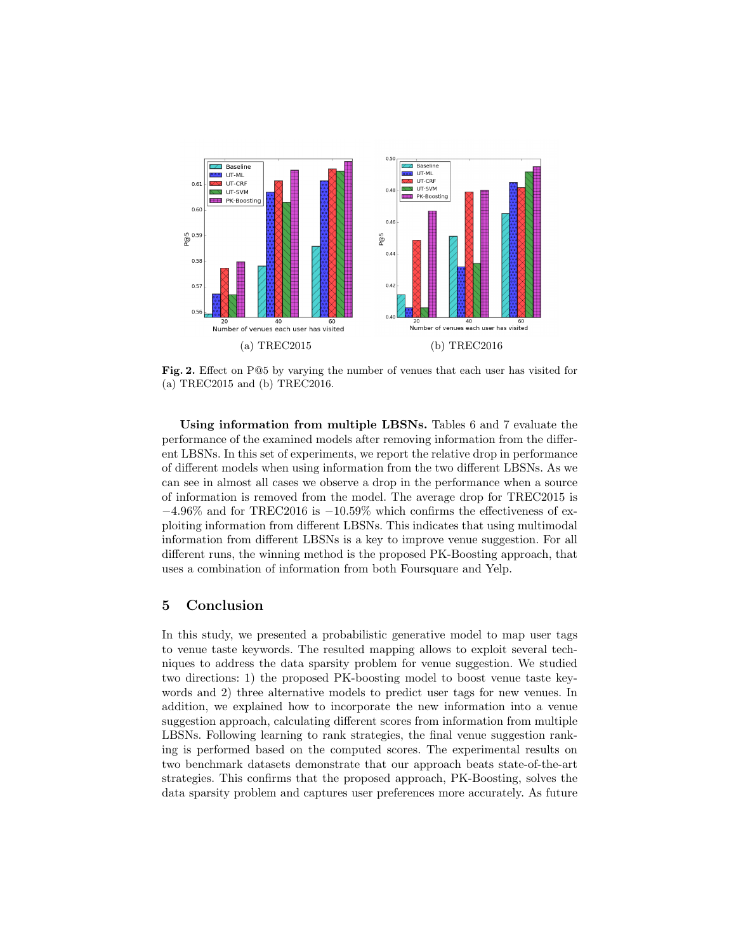

Fig. 2. Effect on P@5 by varying the number of venues that each user has visited for (a) TREC2015 and (b) TREC2016.

Using information from multiple LBSNs. Tables 6 and 7 evaluate the performance of the examined models after removing information from the different LBSNs. In this set of experiments, we report the relative drop in performance of different models when using information from the two different LBSNs. As we can see in almost all cases we observe a drop in the performance when a source of information is removed from the model. The average drop for TREC2015 is  $-4.96\%$  and for TREC2016 is  $-10.59\%$  which confirms the effectiveness of exploiting information from different LBSNs. This indicates that using multimodal information from different LBSNs is a key to improve venue suggestion. For all different runs, the winning method is the proposed PK-Boosting approach, that uses a combination of information from both Foursquare and Yelp.

## 5 Conclusion

In this study, we presented a probabilistic generative model to map user tags to venue taste keywords. The resulted mapping allows to exploit several techniques to address the data sparsity problem for venue suggestion. We studied two directions: 1) the proposed PK-boosting model to boost venue taste keywords and 2) three alternative models to predict user tags for new venues. In addition, we explained how to incorporate the new information into a venue suggestion approach, calculating different scores from information from multiple LBSNs. Following learning to rank strategies, the final venue suggestion ranking is performed based on the computed scores. The experimental results on two benchmark datasets demonstrate that our approach beats state-of-the-art strategies. This confirms that the proposed approach, PK-Boosting, solves the data sparsity problem and captures user preferences more accurately. As future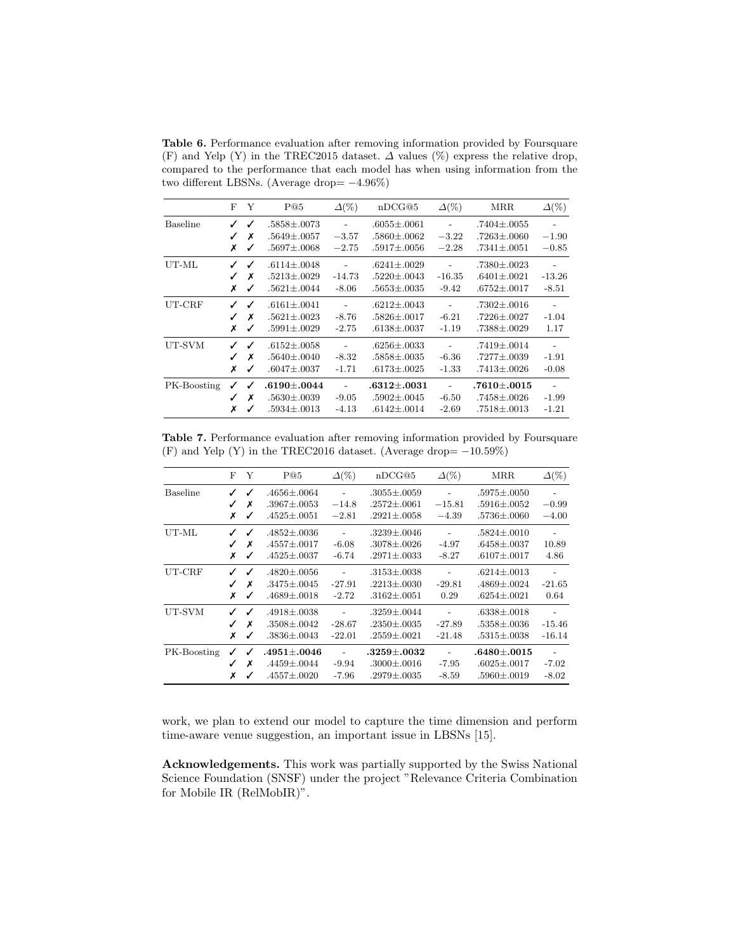Table 6. Performance evaluation after removing information provided by Foursquare (F) and Yelp (Y) in the TREC2015 dataset.  $\Delta$  values (%) express the relative drop, compared to the performance that each model has when using information from the two different LBSNs. (Average drop= −4.96%)

|             | F           | Y           | P@5                                                           | $\Delta(\%)$                         | nDCG@5                                                          | $\Delta(\%)$                                    | <b>MRR</b>                                                        | $\Delta(\%)$                                    |
|-------------|-------------|-------------|---------------------------------------------------------------|--------------------------------------|-----------------------------------------------------------------|-------------------------------------------------|-------------------------------------------------------------------|-------------------------------------------------|
| Baseline    | ✓<br>✓<br>х | ✓<br>х<br>✓ | $.5858 \pm .0073$<br>$.5649 \pm 0.0057$<br>$.5697 \pm .0068$  | $\overline{a}$<br>$-3.57$<br>$-2.75$ | $.6055 \pm .0061$<br>$.5860 \pm .0062$<br>$.5917 {\pm} .0056$   | $\overline{\phantom{a}}$<br>$-3.22$<br>$-2.28$  | $.7404 \pm 0.0055$<br>$.7263 \pm .0060$<br>$.7341 \pm .0051$      | $-1.90$<br>$-0.85$                              |
| UT-ML       | ✓<br>✓<br>х | ✓<br>х<br>✓ | $.6114 {\pm} .0048$<br>$.5213 \pm .0029$<br>$.5621 \pm .0044$ | $-14.73$<br>$-8.06$                  | $.6241 \pm .0029$<br>$.5220 {\pm} .0043$<br>$.5653 \pm .0035$   | $\overline{\phantom{a}}$<br>$-16.35$<br>$-9.42$ | $.7380 {\pm} .0023$<br>$.6401 {\pm} .0021$<br>$.6752 {\pm} .0017$ | $\overline{\phantom{a}}$<br>$-13.26$<br>$-8.51$ |
| UT-CRF      | ✓<br>✓<br>х | ✓<br>х<br>✓ | $.6161 \pm .0041$<br>$.5621 \pm .0023$<br>$.5991 \pm .0029$   | $-8.76$<br>$-2.75$                   | $.6212 \pm .0043$<br>$.5826 {\pm} .0017$<br>$.6138 {\pm} .0037$ | $-6.21$<br>$-1.19$                              | $.7302 {\pm} .0016$<br>$.7226 {\pm} .0027$<br>$.7388 \pm .0029$   | $-1.04$<br>1.17                                 |
| UT-SVM      | ✓<br>✓<br>х | ✓<br>х<br>✓ | $.6152 \pm .0058$<br>$.5640 {\pm} .0040$<br>$.6047 \pm .0037$ | $-8.32$<br>$-1.71$                   | $.6256 \pm .0033$<br>$.5858 {\pm} .0035$<br>$.6173 \pm .0025$   | $-6.36$<br>$-1.33$                              | $.7419 \pm .0014$<br>$.7277 {\pm} .0039$<br>$.7413 {\pm} .0026$   | $\overline{\phantom{a}}$<br>$-1.91$<br>$-0.08$  |
| PK-Boosting | ✓<br>✓<br>х | ✓<br>х<br>✓ | $.6190 + .0044$<br>$.5630 \pm .0039$<br>$.5934 \pm .0013$     | $-9.05$<br>$-4.13$                   | $.6312 {\pm} .0031$<br>$.5902 \pm .0045$<br>$.6142 \pm .0014$   | $-6.50$<br>$-2.69$                              | $.7610 {\pm} .0015$<br>$.7458 \pm 0.0026$<br>$.7518 \pm .0013$    | $-1.99$<br>$-1.21$                              |

Table 7. Performance evaluation after removing information provided by Foursquare (F) and Yelp (Y) in the TREC2016 dataset. (Average drop=  $-10.59\%$ )

|                 | F | Y            | P@5                 | $\Delta(\%)$ | nDCG@5              | $\Delta(\%)$      | <b>MRR</b>           | $\Delta(\%)$ |
|-----------------|---|--------------|---------------------|--------------|---------------------|-------------------|----------------------|--------------|
| <b>Baseline</b> |   | ✓            | $.4656 + .0064$     |              | $.3055 \pm .0059$   | ÷,                | $.5975 \pm .0050$    |              |
|                 |   | Х            | $.3967 \pm .0053$   | $-14.8$      | $.2572 \pm .0061$   | $-15.81$          | $.5916 {\pm} .0052$  | $-0.99$      |
|                 | х | ✓            | $.4525 \pm .0051$   | $-2.81$      | $.2921 \pm .0058$   | $-4.39$           | $.5736 {\pm} .0060$  | $-4.00$      |
| UT-ML           |   | ✓            | $.4852 {\pm} .0036$ |              | $.3239 \pm .0046$   | $\sim$            | $.5824 {\pm} .0010$  |              |
|                 |   | Х            | $.4557 \pm .0017$   | $-6.08$      | $.3078 {\pm} .0026$ | $-4.97$           | $.6458 {\pm} .0037$  | 10.89        |
|                 | х | $\checkmark$ | $.4525 \pm .0037$   | $-6.74$      | $.2971 \pm .0033$   | $-8.27$           | $.6107 {\pm} .0017$  | 4.86         |
| UT-CRF          |   | ✓            | $.4820 {\pm} .0056$ |              | $.3153 \pm .0038$   | $\sim$            | $.6214 \pm .0013$    |              |
|                 |   | х            | $.3475 \pm .0045$   | $-27.91$     | $.2213 {\pm} .0030$ | $-29.81$          | $.4869 {\pm} .0024$  | $-21.65$     |
|                 | х | ✓            | $.4689 \pm .0018$   | $-2.72$      | $.3162 {\pm} .0051$ | 0.29              | $.6254 \pm .0021$    | 0.64         |
| UT-SVM          | ✓ | ✓            | $.4918 \pm .0038$   |              | $.3259 \pm .0044$   | $\qquad \qquad -$ | $.6338 {\pm} .0018$  |              |
|                 |   | х            | $.3508 \pm .0042$   | $-28.67$     | $.2350 \pm .0035$   | $-27.89$          | $.5358 {\pm} .0036$  | $-15.46$     |
|                 | х | ✓            | $.3836 {\pm} .0043$ | $-22.01$     | $.2559 \pm .0021$   | $-21.48$          | $.5315 \pm .0038$    | $-16.14$     |
| PK-Boosting     | ✓ | ✓            | $.4951 {\pm} .0046$ |              | $.3259 {\pm} .0032$ |                   | $0.6480 {\pm} .0015$ |              |
|                 | ✓ | х            | $.4459 \pm .0044$   | $-9.94$      | $.3000 \pm .0016$   | $-7.95$           | $.6025 \pm .0017$    | $-7.02$      |
|                 | х |              | $.4557 \pm .0020$   | -7.96        | $.2979 \pm .0035$   | $-8.59$           | $.5960 {\pm} .0019$  | $-8.02$      |

work, we plan to extend our model to capture the time dimension and perform time-aware venue suggestion, an important issue in LBSNs [15].

Acknowledgements. This work was partially supported by the Swiss National Science Foundation (SNSF) under the project "Relevance Criteria Combination for Mobile IR (RelMobIR)".